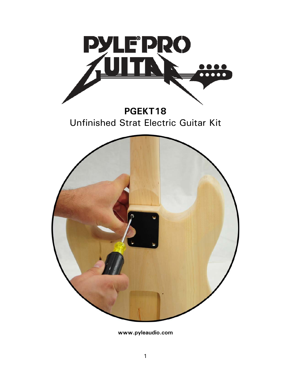

**www.pyleaudio.com**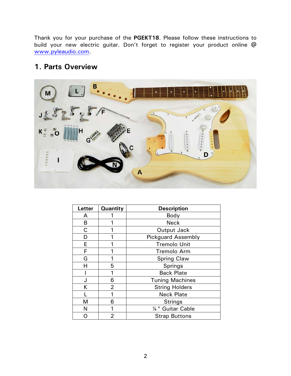Thank you for your purchase of the **PGEKT18**. Please follow these instructions to build your new electric guitar. Don't forget to register your product online @ www.pyleaudio.com.

### **1. Parts Overview**



| <b>Letter</b> | <b>Quantity</b> | <b>Description</b>        |  |
|---------------|-----------------|---------------------------|--|
| A             |                 | Body                      |  |
| в             |                 | <b>Neck</b>               |  |
| C             |                 | Output Jack               |  |
| D             |                 | <b>Pickguard Assembly</b> |  |
| E             |                 | <b>Tremolo Unit</b>       |  |
| F             |                 | Tremolo Arm               |  |
| G             |                 | <b>Spring Claw</b>        |  |
| Н             | 5               | Springs                   |  |
|               | 1               | <b>Back Plate</b>         |  |
| J             | 6               | <b>Tuning Machines</b>    |  |
| Κ             | $\overline{2}$  | <b>String Holders</b>     |  |
|               | 1               | <b>Neck Plate</b>         |  |
| M             | 6               | <b>Strings</b>            |  |
| N             |                 | 1/4" Guitar Cable         |  |
|               | $\overline{2}$  | <b>Strap Buttons</b>      |  |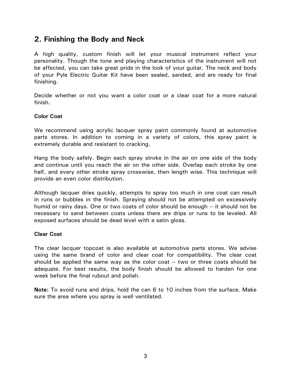### **2. Finishing the Body and Neck**

A high quality, custom finish will let your musical instrument reflect your personality. Though the tone and playing characteristics of the instrument will not be affected, you can take great pride in the look of your guitar. The neck and body of your Pyle Electric Guitar Kit have been sealed, sanded, and are ready for final finishing.

Decide whether or not you want a color coat or a clear coat for a more natural finish.

### **Color Coat**

We recommend using acrylic lacquer spray paint commonly found at automotive parts stores. In addition to coming in a variety of colors, this spray paint is extremely durable and resistant to cracking.

Hang the body safely. Begin each spray stroke in the air on one side of the body and continue until you reach the air on the other side. Overlap each stroke by one half, and every other stroke spray crosswise, then length wise. This technique will provide an even color distribution.

Although lacquer dries quickly, attempts to spray too much in one coat can result in runs or bubbles in the finish. Spraying should not be attempted on excessively humid or rainy days. One or two coats of color should be enough -- it should not be necessary to sand between coats unless there are drips or runs to be leveled. All exposed surfaces should be dead level with a satin gloss.

### **Clear Coat**

The clear lacquer topcoat is also available at automotive parts stores. We advise using the same brand of color and clear coat for compatibility. The clear coat should be applied the same way as the color coat -- two or three coats should be adequate. For best results, the body finish should be allowed to harden for one week before the final rubout and polish.

**Note:** To avoid runs and drips, hold the can 6 to 10 inches from the surface. Make sure the area where you spray is well ventilated.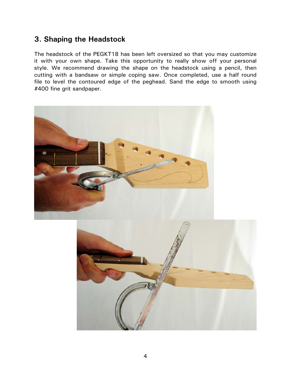# **3. Shaping the Headstock**

The headstock of the PEGKT18 has been left oversized so that you may customize it with your own shape. Take this opportunity to really show off your personal style. We recommend drawing the shape on the headstock using a pencil, then cutting with a bandsaw or simple coping saw. Once completed, use a half round file to level the contoured edge of the peghead. Sand the edge to smooth using #400 fine grit sandpaper.

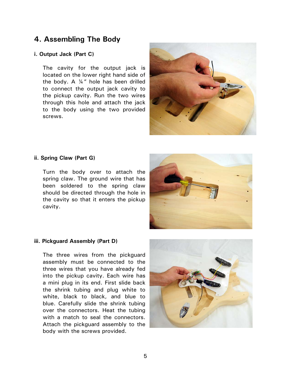### **4. Assembling The Body**

### **i. Output Jack (Part C)**

The cavity for the output jack is located on the lower right hand side of the body. A  $\frac{1}{4}$ " hole has been drilled to connect the output jack cavity to the pickup cavity. Run the two wires through this hole and attach the jack to the body using the two provided screws.



#### **ii. Spring Claw (Part G)**

Turn the body over to attach the spring claw. The ground wire that has been soldered to the spring claw should be directed through the hole in the cavity so that it enters the pickup cavity.



#### **iii. Pickguard Assembly (Part D)**

The three wires from the pickguard assembly must be connected to the three wires that you have already fed into the pickup cavity. Each wire has a mini plug in its end. First slide back the shrink tubing and plug white to white, black to black, and blue to blue. Carefully slide the shrink tubing over the connectors. Heat the tubing with a match to seal the connectors. Attach the pickguard assembly to the body with the screws provided.

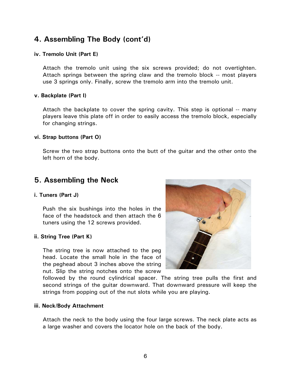# **4. Assembling The Body (cont'd)**

### **iv. Tremolo Unit (Part E)**

Attach the tremolo unit using the six screws provided; do not overtighten. Attach springs between the spring claw and the tremolo block -- most players use 3 springs only. Finally, screw the tremolo arm into the tremolo unit.

### **v. Backplate (Part I)**

Attach the backplate to cover the spring cavity. This step is optional -- many players leave this plate off in order to easily access the tremolo block, especially for changing strings.

#### **vi. Strap buttons (Part O)**

Screw the two strap buttons onto the butt of the guitar and the other onto the left horn of the body.

# **5. Assembling the Neck**

### **i. Tuners (Part J)**

Push the six bushings into the holes in the face of the headstock and then attach the 6 tuners using the 12 screws provided.

### **ii. String Tree (Part K)**

The string tree is now attached to the peg head. Locate the small hole in the face of the peghead about 3 inches above the string nut. Slip the string notches onto the screw



followed by the round cylindrical spacer. The string tree pulls the first and second strings of the guitar downward. That downward pressure will keep the strings from popping out of the nut slots while you are playing.

#### **iii. Neck/Body Attachment**

Attach the neck to the body using the four large screws. The neck plate acts as a large washer and covers the locator hole on the back of the body.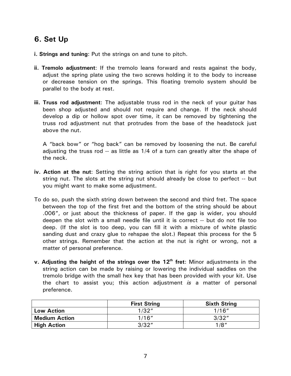# **6. Set Up**

- **i. Strings and tuning**: Put the strings on and tune to pitch.
- **ii. Tremolo adjustment**: If the tremolo leans forward and rests against the body, adjust the spring plate using the two screws holding it to the body to increase or decrease tension on the springs. This floating tremolo system should be parallel to the body at rest.
- **iii. Truss rod adjustment**: The adjustable truss rod in the neck of your guitar has been shop adjusted and should not require and change. If the neck should develop a dip or hollow spot over time, it can be removed by tightening the truss rod adjustment nut that protrudes from the base of the headstock just above the nut.

A "back bow" or "hog back" can be removed by loosening the nut. Be careful adjusting the truss rod -- as little as 1/4 of a turn can greatly alter the shape of the neck.

- **iv. Action at the nut**: Setting the string action that is right for you starts at the string nut. The slots at the string nut should already be close to perfect -- but you might want to make some adjustment.
- To do so, push the sixth string down between the second and third fret. The space between the top of the first fret and the bottom of the string should be about .006", or just about the thickness of paper. If the gap is wider, you should deepen the slot with a small needle file until it is correct -- but do not file too deep. (If the slot is too deep, you can fill it with a mixture of white plastic sanding dust and crazy glue to rehspae the slot.) Repeat this process for the 5 other strings. Remember that the action at the nut is right or wrong, not a matter of personal preference.
- **v. Adjusting the height of the strings over the 12<sup>th</sup> fret: Minor adjustments in the** string action can be made by raising or lowering the individual saddles on the tremolo bridge with the small hex key that has been provided with your kit. Use the chart to assist you; this action adjustment *is* a matter of personal preference.

|                      | <b>First String</b> | <b>Sixth String</b> |
|----------------------|---------------------|---------------------|
| <b>Low Action</b>    | 1/32"               | 1/16''              |
| <b>Medium Action</b> | 1/16''              | 3/32"               |
| <b>High Action</b>   | 3/32"               | 1/8''               |